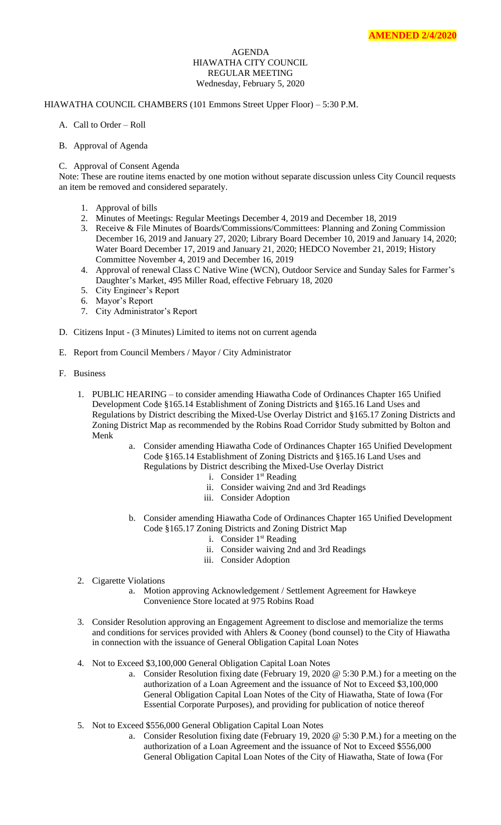## AGENDA HIAWATHA CITY COUNCIL REGULAR MEETING Wednesday, February 5, 2020

## HIAWATHA COUNCIL CHAMBERS (101 Emmons Street Upper Floor) – 5:30 P.M.

- A. Call to Order Roll
- B. Approval of Agenda
- C. Approval of Consent Agenda

Note: These are routine items enacted by one motion without separate discussion unless City Council requests an item be removed and considered separately.

- 1. Approval of bills
- 2. Minutes of Meetings: Regular Meetings December 4, 2019 and December 18, 2019
- 3. Receive & File Minutes of Boards/Commissions/Committees: Planning and Zoning Commission December 16, 2019 and January 27, 2020; Library Board December 10, 2019 and January 14, 2020; Water Board December 17, 2019 and January 21, 2020; HEDCO November 21, 2019; History Committee November 4, 2019 and December 16, 2019
- 4. Approval of renewal Class C Native Wine (WCN), Outdoor Service and Sunday Sales for Farmer's Daughter's Market, 495 Miller Road, effective February 18, 2020
- 5. City Engineer's Report
- 6. Mayor's Report
- 7. City Administrator's Report
- D. Citizens Input (3 Minutes) Limited to items not on current agenda
- E. Report from Council Members / Mayor / City Administrator
- F. Business
	- 1. PUBLIC HEARING to consider amending Hiawatha Code of Ordinances Chapter 165 Unified Development Code §165.14 Establishment of Zoning Districts and §165.16 Land Uses and Regulations by District describing the Mixed-Use Overlay District and §165.17 Zoning Districts and Zoning District Map as recommended by the Robins Road Corridor Study submitted by Bolton and Menk
		- a. Consider amending Hiawatha Code of Ordinances Chapter 165 Unified Development Code §165.14 Establishment of Zoning Districts and §165.16 Land Uses and Regulations by District describing the Mixed-Use Overlay District
			- i. Consider 1<sup>st</sup> Reading
			- ii. Consider waiving 2nd and 3rd Readings
			- iii. Consider Adoption
		- b. Consider amending Hiawatha Code of Ordinances Chapter 165 Unified Development Code §165.17 Zoning Districts and Zoning District Map
			- i. Consider 1<sup>st</sup> Reading
			- ii. Consider waiving 2nd and 3rd Readings
			- iii. Consider Adoption
	- 2. Cigarette Violations
		- a. Motion approving Acknowledgement / Settlement Agreement for Hawkeye Convenience Store located at 975 Robins Road
	- 3. Consider Resolution approving an Engagement Agreement to disclose and memorialize the terms and conditions for services provided with Ahlers & Cooney (bond counsel) to the City of Hiawatha in connection with the issuance of General Obligation Capital Loan Notes
	- 4. Not to Exceed \$3,100,000 General Obligation Capital Loan Notes
		- a. Consider Resolution fixing date (February 19, 2020 @ 5:30 P.M.) for a meeting on the authorization of a Loan Agreement and the issuance of Not to Exceed \$3,100,000 General Obligation Capital Loan Notes of the City of Hiawatha, State of Iowa (For Essential Corporate Purposes), and providing for publication of notice thereof
	- 5. Not to Exceed \$556,000 General Obligation Capital Loan Notes
		- a. Consider Resolution fixing date (February 19, 2020 @ 5:30 P.M.) for a meeting on the authorization of a Loan Agreement and the issuance of Not to Exceed \$556,000 General Obligation Capital Loan Notes of the City of Hiawatha, State of Iowa (For